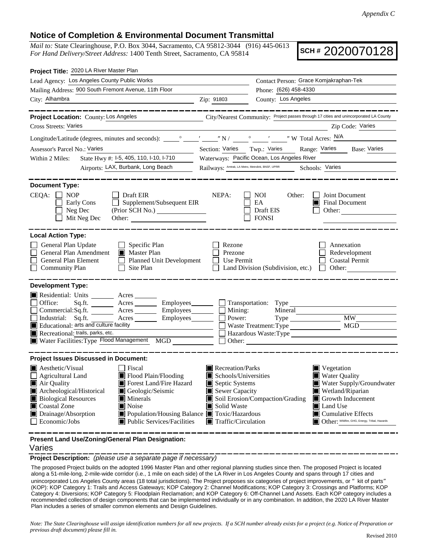## **Notice of Completion & Environmental Document Transmittal**

*Mail to:* State Clearinghouse, P.O. Box 3044, Sacramento, CA 95812-3044 (916) 445-0613 *For Hand Delivery/Street Address:* 1400 Tenth Street, Sacramento, CA 95814

**SCH #** 2020070128

| Project Title: 2020 LA River Master Plan                                                                                                                                                                                                                                                                                                                                                                            |                                                                   |                                                                                                                                                                                                                                                                                                                                                                    |                                                                                       |  |
|---------------------------------------------------------------------------------------------------------------------------------------------------------------------------------------------------------------------------------------------------------------------------------------------------------------------------------------------------------------------------------------------------------------------|-------------------------------------------------------------------|--------------------------------------------------------------------------------------------------------------------------------------------------------------------------------------------------------------------------------------------------------------------------------------------------------------------------------------------------------------------|---------------------------------------------------------------------------------------|--|
| Lead Agency: Los Angeles County Public Works                                                                                                                                                                                                                                                                                                                                                                        | Contact Person: Grace Komjakraphan-Tek                            |                                                                                                                                                                                                                                                                                                                                                                    |                                                                                       |  |
| Mailing Address: 900 South Fremont Avenue, 11th Floor                                                                                                                                                                                                                                                                                                                                                               |                                                                   |                                                                                                                                                                                                                                                                                                                                                                    | Phone: (626) 458-4330                                                                 |  |
| City: Alhambra                                                                                                                                                                                                                                                                                                                                                                                                      | Zip: 91803                                                        | County: Los Angeles                                                                                                                                                                                                                                                                                                                                                |                                                                                       |  |
| _______<br>Project Location: County: Los Angeles                                                                                                                                                                                                                                                                                                                                                                    |                                                                   |                                                                                                                                                                                                                                                                                                                                                                    | City/Nearest Community: Project passes through 17 cities and unincorporated LA County |  |
| Cross Streets: Varies                                                                                                                                                                                                                                                                                                                                                                                               |                                                                   |                                                                                                                                                                                                                                                                                                                                                                    | Zip Code: Varies                                                                      |  |
|                                                                                                                                                                                                                                                                                                                                                                                                                     |                                                                   |                                                                                                                                                                                                                                                                                                                                                                    |                                                                                       |  |
|                                                                                                                                                                                                                                                                                                                                                                                                                     |                                                                   |                                                                                                                                                                                                                                                                                                                                                                    |                                                                                       |  |
| Assessor's Parcel No.: Varies                                                                                                                                                                                                                                                                                                                                                                                       | Section: Varies Twp.: Varies Range: Varies Base: Varies           |                                                                                                                                                                                                                                                                                                                                                                    |                                                                                       |  |
| State Hwy #: 1-5, 405, 110, 1-10, 1-710<br>Within 2 Miles:                                                                                                                                                                                                                                                                                                                                                          | Waterways: Pacific Ocean, Los Angeles River                       |                                                                                                                                                                                                                                                                                                                                                                    |                                                                                       |  |
| Airports: LAX, Burbank, Long Beach                                                                                                                                                                                                                                                                                                                                                                                  | Railways: Amtrak, LA Metro, Metrolink, BNSF, UPRR Schools: Varies |                                                                                                                                                                                                                                                                                                                                                                    |                                                                                       |  |
| <b>Document Type:</b><br>$CEQA: \Box NP$<br>Draft EIR<br>Supplement/Subsequent EIR<br>Early Cons<br>$\mathcal{L}^{\mathcal{L}}$<br>Neg Dec<br>(Prior SCH No.)<br>Mit Neg Dec                                                                                                                                                                                                                                        | NEPA:                                                             | <b>NOI</b><br>Other:<br>EA<br>Draft EIS<br><b>FONSI</b>                                                                                                                                                                                                                                                                                                            | Joint Document<br>Final Document<br>Other:                                            |  |
| <b>Local Action Type:</b><br>General Plan Update<br>$\Box$ Specific Plan<br>General Plan Amendment<br>Master Plan<br>General Plan Element<br>Planned Unit Development<br><b>Community Plan</b><br>$\Box$<br>Site Plan                                                                                                                                                                                               | Rezone<br>Prezone<br>Use Permit                                   | Land Division (Subdivision, etc.)                                                                                                                                                                                                                                                                                                                                  | Annexation<br>Redevelopment<br><b>Coastal Permit</b><br>$\Box$ Other:                 |  |
| <b>Development Type:</b><br>Residential: Units ________ Acres<br>Office:<br>Employees_______<br>Sq.fit.<br>Acres<br>Commercial:Sq.ft.<br>Employees_<br>Industrial: Sq.ft.<br>Acres<br>Employees______<br>$\blacksquare$ Educational: arts and culture facility<br>Recreational: trails, parks, etc.<br>Water Facilities: Type Flood Management MGD                                                                  | Mining:<br>Power:                                                 | $\Box$ Transportation: Type<br>Mineral<br>Waste Treatment: Type<br>Other:                                                                                                                                                                                                                                                                                          | <b>MW</b><br>MGD<br>Hazardous Waste: Type                                             |  |
| <b>Project Issues Discussed in Document:</b>                                                                                                                                                                                                                                                                                                                                                                        |                                                                   |                                                                                                                                                                                                                                                                                                                                                                    |                                                                                       |  |
| $\blacksquare$ Aesthetic/Visual<br>  Fiscal<br>Flood Plain/Flooding<br><b>Agricultural Land</b><br>Air Quality<br>Forest Land/Fire Hazard<br>Archeological/Historical<br>Geologic/Seismic<br><b>Biological Resources</b><br>$\blacksquare$ Minerals<br>Noise<br>Coastal Zone<br>Drainage/Absorption<br>■ Population/Housing Balance ■ Toxic/Hazardous<br>$\blacksquare$ Public Services/Facilities<br>Economic/Jobs | Solid Waste                                                       | Recreation/Parks<br>Vegetation<br>Schools/Universities<br><b>Water Quality</b><br>Septic Systems<br>Water Supply/Groundwater<br>Sewer Capacity<br>Wetland/Riparian<br>Soil Erosion/Compaction/Grading<br>Growth Inducement<br>Land Use<br>$\blacksquare$ Cumulative Effects<br>Other: Wildfire, GHG, Energy, Tribal, Hazards<br>$\blacksquare$ Traffic/Circulation |                                                                                       |  |

**Present Land Use/Zoning/General Plan Designation:**

## Varies

**Project Description:** *(please use a separate page if necessary)*

 The proposed Project builds on the adopted 1996 Master Plan and other regional planning studies since then. The proposed Project is located along a 51-mile-long, 2-mile-wide corridor (i.e., 1 mile on each side) of the LA River in Los Angeles County and spans through 17 cities and unincorporated Los Angeles County areas (18 total jurisdictions). The Project proposes six categories of project improvements, or " kit of parts" (KOP): KOP Category 1: Trails and Access Gateways; KOP Category 2: Channel Modifications; KOP Category 3: Crossings and Platforms; KOP Category 4: Diversions; KOP Category 5: Floodplain Reclamation; and KOP Category 6: Off-Channel Land Assets. Each KOP category includes a recommended collection of design components that can be implemented individually or in any combination. In addition, the 2020 LA River Master Plan includes a series of smaller common elements and Design Guidelines.

*Note: The State Clearinghouse will assign identification numbers for all new projects. If a SCH number already exists for a project (e.g. Notice of Preparation or previous draft document) please fill in.*